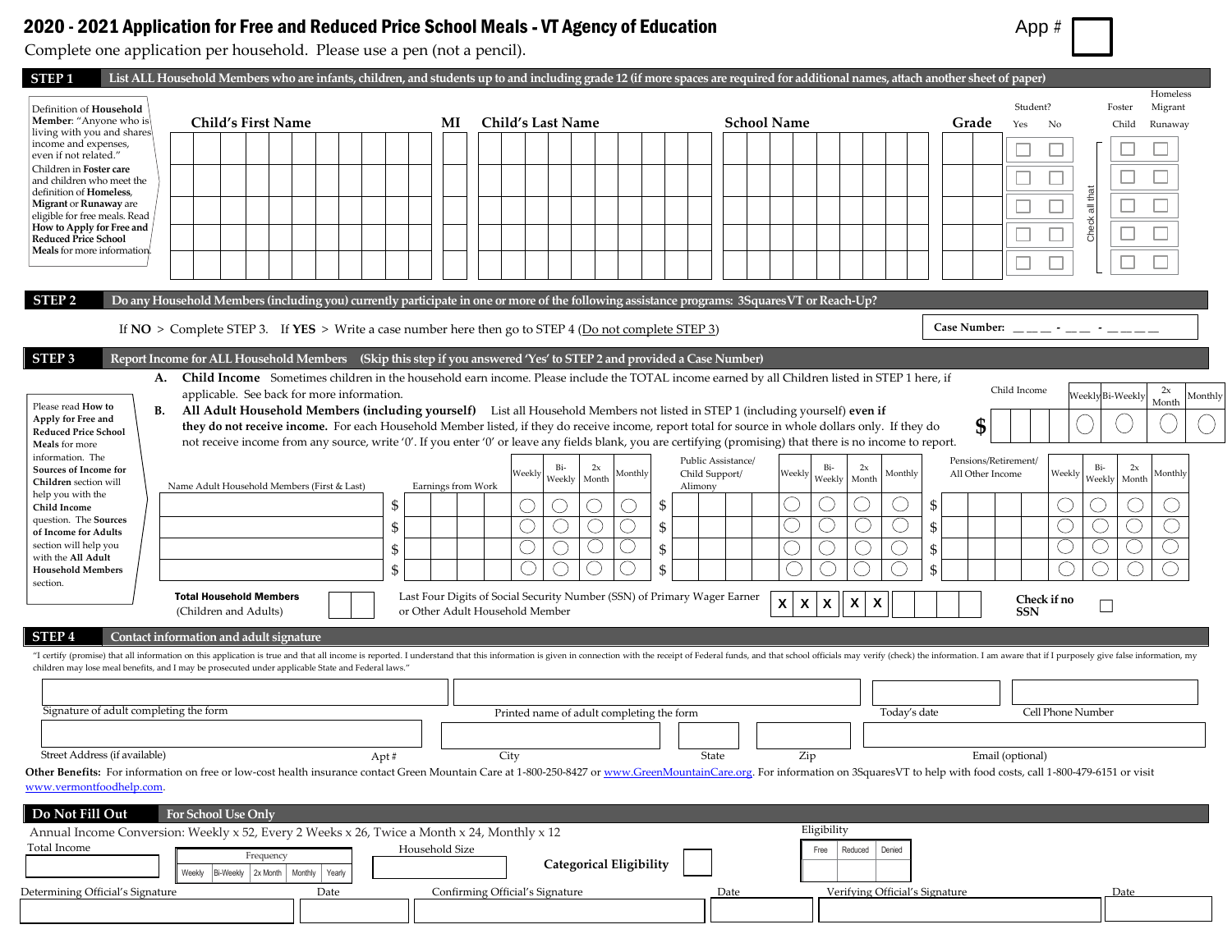## 2020 - 2021 Application for Free and Reduced Price School Meals - VT Agency of Education App + App #

Complete one application per household. Please use a pen (not a pencil).

| STEP 1                                                       |                                                                                                    | List ALL Household Members who are infants, children, and students up to and including grade 12 (if more spaces are required for additional names, attach another sheet of paper)                                                                                                   |                                                        |                                                                                                                                                                                                                                                                                                                    |                               |
|--------------------------------------------------------------|----------------------------------------------------------------------------------------------------|-------------------------------------------------------------------------------------------------------------------------------------------------------------------------------------------------------------------------------------------------------------------------------------|--------------------------------------------------------|--------------------------------------------------------------------------------------------------------------------------------------------------------------------------------------------------------------------------------------------------------------------------------------------------------------------|-------------------------------|
| Definition of Household                                      |                                                                                                    |                                                                                                                                                                                                                                                                                     |                                                        | Student?                                                                                                                                                                                                                                                                                                           | Homeless<br>Migrant<br>Foster |
| Member: "Anyone who is<br>living with you and shares         | <b>Child's First Name</b>                                                                          | <b>Child's Last Name</b><br>MI                                                                                                                                                                                                                                                      | <b>School Name</b>                                     | Grade<br>Yes<br>No                                                                                                                                                                                                                                                                                                 | Child<br>Runaway              |
| income and expenses,                                         |                                                                                                    |                                                                                                                                                                                                                                                                                     |                                                        |                                                                                                                                                                                                                                                                                                                    |                               |
| even if not related."<br>Children in Foster care             |                                                                                                    |                                                                                                                                                                                                                                                                                     |                                                        |                                                                                                                                                                                                                                                                                                                    |                               |
| and children who meet the<br>definition of <b>Homeless</b> , |                                                                                                    |                                                                                                                                                                                                                                                                                     |                                                        |                                                                                                                                                                                                                                                                                                                    |                               |
| Migrant or Runaway are                                       |                                                                                                    |                                                                                                                                                                                                                                                                                     |                                                        |                                                                                                                                                                                                                                                                                                                    |                               |
| eligible for free meals. Read<br>How to Apply for Free and   |                                                                                                    |                                                                                                                                                                                                                                                                                     |                                                        | Check all that                                                                                                                                                                                                                                                                                                     |                               |
| <b>Reduced Price School</b><br>Meals for more information.   |                                                                                                    |                                                                                                                                                                                                                                                                                     |                                                        |                                                                                                                                                                                                                                                                                                                    |                               |
|                                                              |                                                                                                    |                                                                                                                                                                                                                                                                                     |                                                        |                                                                                                                                                                                                                                                                                                                    |                               |
|                                                              |                                                                                                    |                                                                                                                                                                                                                                                                                     |                                                        |                                                                                                                                                                                                                                                                                                                    |                               |
| STEP <sub>2</sub>                                            |                                                                                                    | Do any Household Members (including you) currently participate in one or more of the following assistance programs: 3SquaresVT or Reach-Up?                                                                                                                                         |                                                        |                                                                                                                                                                                                                                                                                                                    |                               |
|                                                              |                                                                                                    | If $NO >$ Complete STEP 3. If $YES >$ Write a case number here then go to STEP 4 ( $Do$ not complete STEP 3)                                                                                                                                                                        |                                                        | Case Number: $\frac{1}{2}$ $\frac{1}{2}$ $\frac{1}{2}$ $\frac{1}{2}$ $\frac{1}{2}$ $\frac{1}{2}$ $\frac{1}{2}$ $\frac{1}{2}$ $\frac{1}{2}$ $\frac{1}{2}$ $\frac{1}{2}$ $\frac{1}{2}$ $\frac{1}{2}$ $\frac{1}{2}$ $\frac{1}{2}$ $\frac{1}{2}$ $\frac{1}{2}$ $\frac{1}{2}$ $\frac{1}{2}$ $\frac{1}{2}$ $\frac{1}{2}$ |                               |
| STEP <sub>3</sub>                                            |                                                                                                    | Report Income for ALL Household Members (Skip this step if you answered 'Yes' to STEP 2 and provided a Case Number)                                                                                                                                                                 |                                                        |                                                                                                                                                                                                                                                                                                                    |                               |
| А.                                                           |                                                                                                    | Child Income Sometimes children in the household earn income. Please include the TOTAL income earned by all Children listed in STEP 1 here, if                                                                                                                                      |                                                        | Child Income                                                                                                                                                                                                                                                                                                       | 2x                            |
| Please read How to<br>В.                                     | applicable. See back for more information.                                                         |                                                                                                                                                                                                                                                                                     |                                                        | Veekly Bi-Weekly                                                                                                                                                                                                                                                                                                   | Month                         |
| Apply for Free and                                           |                                                                                                    | All Adult Household Members (including yourself) List all Household Members not listed in STEP 1 (including yourself) even if<br>they do not receive income. For each Household Member listed, if they do receive income, report total for source in whole dollars only. If they do |                                                        | \$                                                                                                                                                                                                                                                                                                                 |                               |
| <b>Reduced Price School</b><br>Meals for more                |                                                                                                    | not receive income from any source, write '0'. If you enter '0' or leave any fields blank, you are certifying (promising) that there is no income to report.                                                                                                                        |                                                        |                                                                                                                                                                                                                                                                                                                    |                               |
| information. The                                             |                                                                                                    | Bi-<br>2x                                                                                                                                                                                                                                                                           | Public Assistance/<br>Bi-<br>2x                        | Pensions/Retirement/<br>Bi-                                                                                                                                                                                                                                                                                        | 2x                            |
| Sources of Income for<br>Children section will               | Name Adult Household Members (First & Last)                                                        | Weekly<br>Monthly<br>Weekly<br>Month<br>Earnings from Work<br>Alimony                                                                                                                                                                                                               | Child Support/<br>Weekly<br>Monthly<br>Weekly<br>Month | All Other Income<br>Weekly<br>Weekly                                                                                                                                                                                                                                                                               | Monthly<br>Month              |
| help you with the<br>Child Income                            | \$                                                                                                 | -\$                                                                                                                                                                                                                                                                                 | Ċ.                                                     | S.                                                                                                                                                                                                                                                                                                                 |                               |
| question. The Sources                                        |                                                                                                    |                                                                                                                                                                                                                                                                                     | Ċ                                                      |                                                                                                                                                                                                                                                                                                                    |                               |
| of Income for Adults<br>section will help you                | \$                                                                                                 | \$                                                                                                                                                                                                                                                                                  |                                                        | \$                                                                                                                                                                                                                                                                                                                 |                               |
| with the All Adult                                           | \$                                                                                                 | \$                                                                                                                                                                                                                                                                                  |                                                        | \$                                                                                                                                                                                                                                                                                                                 |                               |
| <b>Household Members</b><br>section.                         | \$                                                                                                 | \$                                                                                                                                                                                                                                                                                  |                                                        |                                                                                                                                                                                                                                                                                                                    |                               |
|                                                              | <b>Total Household Members</b>                                                                     | Last Four Digits of Social Security Number (SSN) of Primary Wager Earner                                                                                                                                                                                                            | χ<br>X<br>X<br>$\boldsymbol{\mathsf{x}}$<br>X          | Check if no                                                                                                                                                                                                                                                                                                        |                               |
|                                                              | (Children and Adults)                                                                              | or Other Adult Household Member                                                                                                                                                                                                                                                     |                                                        | <b>SSN</b>                                                                                                                                                                                                                                                                                                         |                               |
| <b>STEP4</b>                                                 | Contact information and adult signature                                                            |                                                                                                                                                                                                                                                                                     |                                                        |                                                                                                                                                                                                                                                                                                                    |                               |
|                                                              | children may lose meal benefits, and I may be prosecuted under applicable State and Federal laws.' | "I certify (promise) that all information on this application is true and that all income is reported. I understand that this information is given in connection with the receipt of Federal funds, and that school officials                                                       |                                                        |                                                                                                                                                                                                                                                                                                                    |                               |
|                                                              |                                                                                                    |                                                                                                                                                                                                                                                                                     |                                                        |                                                                                                                                                                                                                                                                                                                    |                               |
| Signature of adult completing the form                       |                                                                                                    | Printed name of adult completing the form                                                                                                                                                                                                                                           | Today's date                                           | Cell Phone Number                                                                                                                                                                                                                                                                                                  |                               |
|                                                              |                                                                                                    |                                                                                                                                                                                                                                                                                     |                                                        |                                                                                                                                                                                                                                                                                                                    |                               |
| Street Address (if available)                                | Apt#                                                                                               | City                                                                                                                                                                                                                                                                                | State<br>Zip                                           | Email (optional)                                                                                                                                                                                                                                                                                                   |                               |
|                                                              |                                                                                                    | Other Benefits: For information on free or low-cost health insurance contact Green Mountain Care at 1-800-250-8427 or www.GreenMountainCare.org. For information on 3SquaresVT to help with food costs, call 1-800-479-6151 or                                                      |                                                        |                                                                                                                                                                                                                                                                                                                    |                               |
| www.vermontfoodhelp.com.                                     |                                                                                                    |                                                                                                                                                                                                                                                                                     |                                                        |                                                                                                                                                                                                                                                                                                                    |                               |
| Do Not Fill Out                                              | For School Use Only                                                                                |                                                                                                                                                                                                                                                                                     |                                                        |                                                                                                                                                                                                                                                                                                                    |                               |
|                                                              | Annual Income Conversion: Weekly x 52, Every 2 Weeks x 26, Twice a Month x 24, Monthly x 12        |                                                                                                                                                                                                                                                                                     | Eligibility                                            |                                                                                                                                                                                                                                                                                                                    |                               |
| Total Income                                                 | Frequency                                                                                          | Household Size                                                                                                                                                                                                                                                                      | Reduced<br>Denied<br>Free                              |                                                                                                                                                                                                                                                                                                                    |                               |
|                                                              | Weekly Bi-Weekly 2x Month Monthly Yearly                                                           | <b>Categorical Eligibility</b>                                                                                                                                                                                                                                                      |                                                        |                                                                                                                                                                                                                                                                                                                    |                               |
| Determining Official's Signature                             | Date                                                                                               | Confirming Official's Signature                                                                                                                                                                                                                                                     | Date<br>Verifying Official's Signature                 |                                                                                                                                                                                                                                                                                                                    | Date                          |
|                                                              |                                                                                                    |                                                                                                                                                                                                                                                                                     |                                                        |                                                                                                                                                                                                                                                                                                                    |                               |